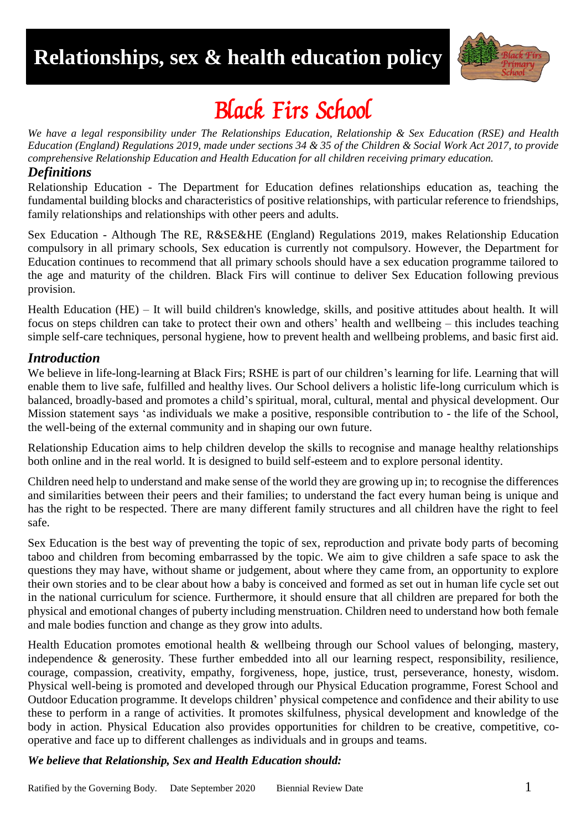# **Relationships, sex & health education policy**



# Black Firs School

*We have a legal responsibility under The Relationships Education, Relationship & Sex Education (RSE) and Health Education (England) Regulations 2019, made under sections 34 & 35 of the Children & Social Work Act 2017, to provide comprehensive Relationship Education and Health Education for all children receiving primary education.*

#### *Definitions*

Relationship Education - The Department for Education defines relationships education as, teaching the fundamental building blocks and characteristics of positive relationships, with particular reference to friendships, family relationships and relationships with other peers and adults.

Sex Education - Although The RE, R&SE&HE (England) Regulations 2019, makes Relationship Education compulsory in all primary schools, Sex education is currently not compulsory. However, the Department for Education continues to recommend that all primary schools should have a sex education programme tailored to the age and maturity of the children. Black Firs will continue to deliver Sex Education following previous provision.

Health Education (HE) – It will build children's knowledge, skills, and positive attitudes about health. It will focus on steps children can take to protect their own and others' health and wellbeing – this includes teaching simple self-care techniques, personal hygiene, how to prevent health and wellbeing problems, and basic first aid.

#### *Introduction*

We believe in life-long-learning at Black Firs; RSHE is part of our children's learning for life. Learning that will enable them to live safe, fulfilled and healthy lives. Our School delivers a holistic life-long curriculum which is balanced, broadly-based and promotes a child's spiritual, moral, cultural, mental and physical development. Our Mission statement says 'as individuals we make a positive, responsible contribution to - the life of the School, the well-being of the external community and in shaping our own future.

Relationship Education aims to help children develop the skills to recognise and manage healthy relationships both online and in the real world. It is designed to build self-esteem and to explore personal identity.

Children need help to understand and make sense of the world they are growing up in; to recognise the differences and similarities between their peers and their families; to understand the fact every human being is unique and has the right to be respected. There are many different family structures and all children have the right to feel safe.

Sex Education is the best way of preventing the topic of sex, reproduction and private body parts of becoming taboo and children from becoming embarrassed by the topic. We aim to give children a safe space to ask the questions they may have, without shame or judgement, about where they came from, an opportunity to explore their own stories and to be clear about how a baby is conceived and formed as set out in human life cycle set out in the national curriculum for science. Furthermore, it should ensure that all children are prepared for both the physical and emotional changes of puberty including menstruation. Children need to understand how both female and male bodies function and change as they grow into adults.

Health Education promotes emotional health & wellbeing through our School values of belonging, mastery, independence & generosity. These further embedded into all our learning respect, responsibility, resilience, courage, compassion, creativity, empathy, forgiveness, hope, justice, trust, perseverance, honesty, wisdom. Physical well-being is promoted and developed through our Physical Education programme, Forest School and Outdoor Education programme. It develops children' physical competence and confidence and their ability to use these to perform in a range of activities. It promotes skilfulness, physical development and knowledge of the body in action. Physical Education also provides opportunities for children to be creative, competitive, cooperative and face up to different challenges as individuals and in groups and teams.

#### *We believe that Relationship, Sex and Health Education should:*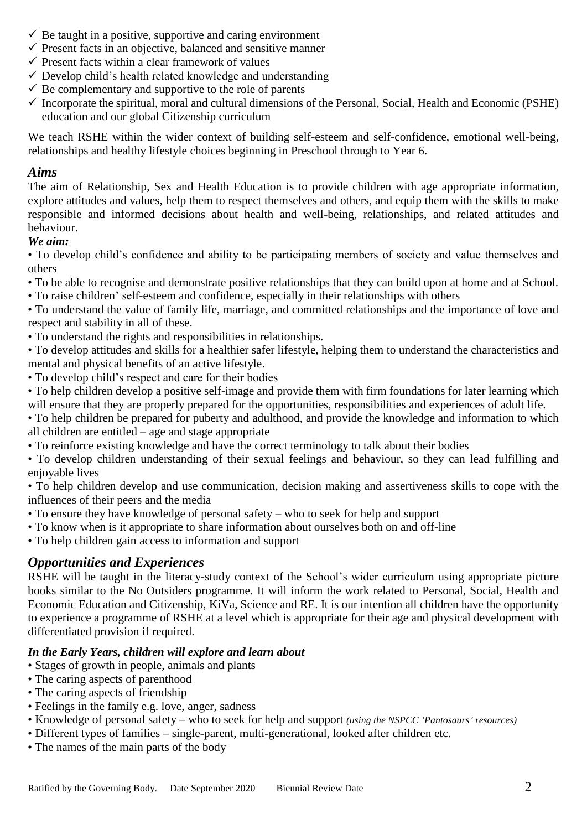- $\checkmark$  Be taught in a positive, supportive and caring environment
- $\checkmark$  Present facts in an objective, balanced and sensitive manner
- $\checkmark$  Present facts within a clear framework of values
- $\checkmark$  Develop child's health related knowledge and understanding
- $\checkmark$  Be complementary and supportive to the role of parents
- $\checkmark$  Incorporate the spiritual, moral and cultural dimensions of the Personal, Social, Health and Economic (PSHE) education and our global Citizenship curriculum

We teach RSHE within the wider context of building self-esteem and self-confidence, emotional well-being, relationships and healthy lifestyle choices beginning in Preschool through to Year 6.

#### *Aims*

The aim of Relationship, Sex and Health Education is to provide children with age appropriate information, explore attitudes and values, help them to respect themselves and others, and equip them with the skills to make responsible and informed decisions about health and well-being, relationships, and related attitudes and behaviour.

### *We aim:*

• To develop child's confidence and ability to be participating members of society and value themselves and others

- To be able to recognise and demonstrate positive relationships that they can build upon at home and at School.
- To raise children' self-esteem and confidence, especially in their relationships with others

• To understand the value of family life, marriage, and committed relationships and the importance of love and respect and stability in all of these.

• To understand the rights and responsibilities in relationships.

• To develop attitudes and skills for a healthier safer lifestyle, helping them to understand the characteristics and mental and physical benefits of an active lifestyle.

- To develop child's respect and care for their bodies
- To help children develop a positive self-image and provide them with firm foundations for later learning which will ensure that they are properly prepared for the opportunities, responsibilities and experiences of adult life.
- To help children be prepared for puberty and adulthood, and provide the knowledge and information to which all children are entitled – age and stage appropriate
- To reinforce existing knowledge and have the correct terminology to talk about their bodies
- To develop children understanding of their sexual feelings and behaviour, so they can lead fulfilling and enjoyable lives

• To help children develop and use communication, decision making and assertiveness skills to cope with the influences of their peers and the media

- To ensure they have knowledge of personal safety who to seek for help and support
- To know when is it appropriate to share information about ourselves both on and off-line
- To help children gain access to information and support

# *Opportunities and Experiences*

RSHE will be taught in the literacy-study context of the School's wider curriculum using appropriate picture books similar to the No Outsiders programme. It will inform the work related to Personal, Social, Health and Economic Education and Citizenship, KiVa, Science and RE. It is our intention all children have the opportunity to experience a programme of RSHE at a level which is appropriate for their age and physical development with differentiated provision if required.

#### *In the Early Years, children will explore and learn about*

- Stages of growth in people, animals and plants
- The caring aspects of parenthood
- The caring aspects of friendship
- Feelings in the family e.g. love, anger, sadness
- Knowledge of personal safety who to seek for help and support *(using the NSPCC 'Pantosaurs' resources)*
- Different types of families single-parent, multi-generational, looked after children etc.
- The names of the main parts of the body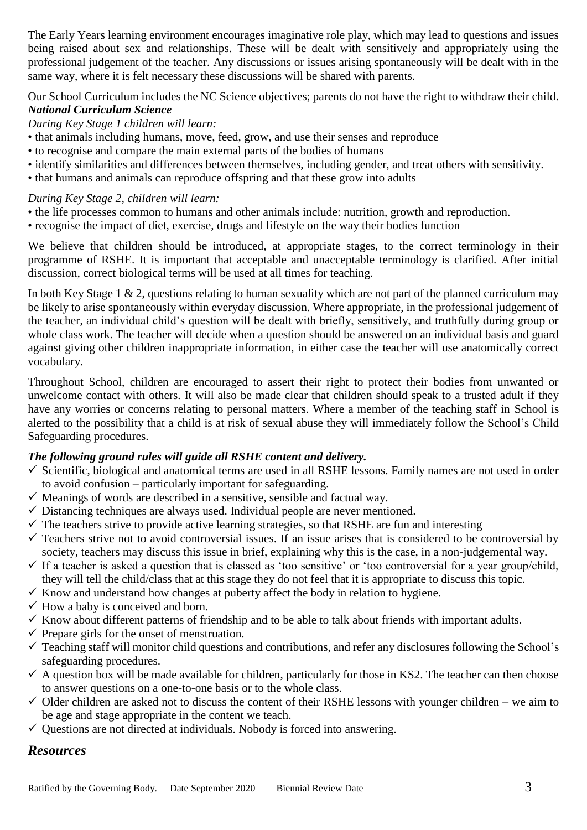The Early Years learning environment encourages imaginative role play, which may lead to questions and issues being raised about sex and relationships. These will be dealt with sensitively and appropriately using the professional judgement of the teacher. Any discussions or issues arising spontaneously will be dealt with in the same way, where it is felt necessary these discussions will be shared with parents.

Our School Curriculum includes the NC Science objectives; parents do not have the right to withdraw their child. *National Curriculum Science* 

*During Key Stage 1 children will learn:* 

- that animals including humans, move, feed, grow, and use their senses and reproduce
- to recognise and compare the main external parts of the bodies of humans
- identify similarities and differences between themselves, including gender, and treat others with sensitivity.
- that humans and animals can reproduce offspring and that these grow into adults

#### *During Key Stage 2, children will learn:*

- the life processes common to humans and other animals include: nutrition, growth and reproduction.
- recognise the impact of diet, exercise, drugs and lifestyle on the way their bodies function

We believe that children should be introduced, at appropriate stages, to the correct terminology in their programme of RSHE. It is important that acceptable and unacceptable terminology is clarified. After initial discussion, correct biological terms will be used at all times for teaching.

In both Key Stage 1  $\&$  2, questions relating to human sexuality which are not part of the planned curriculum may be likely to arise spontaneously within everyday discussion. Where appropriate, in the professional judgement of the teacher, an individual child's question will be dealt with briefly, sensitively, and truthfully during group or whole class work. The teacher will decide when a question should be answered on an individual basis and guard against giving other children inappropriate information, in either case the teacher will use anatomically correct vocabulary.

Throughout School, children are encouraged to assert their right to protect their bodies from unwanted or unwelcome contact with others. It will also be made clear that children should speak to a trusted adult if they have any worries or concerns relating to personal matters. Where a member of the teaching staff in School is alerted to the possibility that a child is at risk of sexual abuse they will immediately follow the School's Child Safeguarding procedures.

#### *The following ground rules will guide all RSHE content and delivery.*

- $\checkmark$  Scientific, biological and anatomical terms are used in all RSHE lessons. Family names are not used in order to avoid confusion – particularly important for safeguarding.
- $\checkmark$  Meanings of words are described in a sensitive, sensible and factual way.
- $\checkmark$  Distancing techniques are always used. Individual people are never mentioned.
- $\checkmark$  The teachers strive to provide active learning strategies, so that RSHE are fun and interesting
- $\checkmark$  Teachers strive not to avoid controversial issues. If an issue arises that is considered to be controversial by society, teachers may discuss this issue in brief, explaining why this is the case, in a non-judgemental way.
- $\checkmark$  If a teacher is asked a question that is classed as 'too sensitive' or 'too controversial for a year group/child, they will tell the child/class that at this stage they do not feel that it is appropriate to discuss this topic.
- $\checkmark$  Know and understand how changes at puberty affect the body in relation to hygiene.
- $\checkmark$  How a baby is conceived and born.
- $\checkmark$  Know about different patterns of friendship and to be able to talk about friends with important adults.
- $\checkmark$  Prepare girls for the onset of menstruation.
- $\checkmark$  Teaching staff will monitor child questions and contributions, and refer any disclosures following the School's safeguarding procedures.
- $\checkmark$  A question box will be made available for children, particularly for those in KS2. The teacher can then choose to answer questions on a one-to-one basis or to the whole class.
- $\checkmark$  Older children are asked not to discuss the content of their RSHE lessons with younger children we aim to be age and stage appropriate in the content we teach.
- $\checkmark$  Questions are not directed at individuals. Nobody is forced into answering.

# *Resources*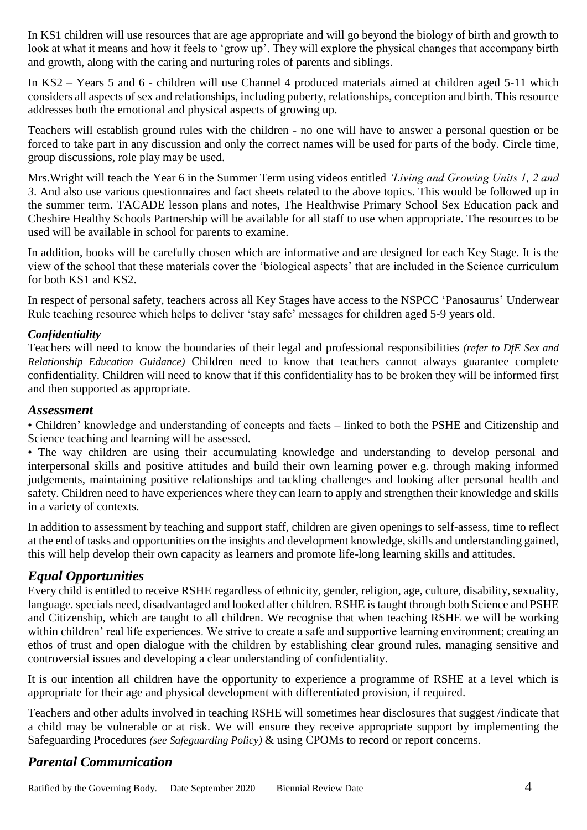In KS1 children will use resources that are age appropriate and will go beyond the biology of birth and growth to look at what it means and how it feels to 'grow up'. They will explore the physical changes that accompany birth and growth, along with the caring and nurturing roles of parents and siblings.

In KS2 – Years 5 and 6 - children will use Channel 4 produced materials aimed at children aged 5-11 which considers all aspects of sex and relationships, including puberty, relationships, conception and birth. This resource addresses both the emotional and physical aspects of growing up.

Teachers will establish ground rules with the children - no one will have to answer a personal question or be forced to take part in any discussion and only the correct names will be used for parts of the body. Circle time, group discussions, role play may be used.

Mrs.Wright will teach the Year 6 in the Summer Term using videos entitled *'Living and Growing Units 1, 2 and 3*. And also use various questionnaires and fact sheets related to the above topics. This would be followed up in the summer term. TACADE lesson plans and notes, The Healthwise Primary School Sex Education pack and Cheshire Healthy Schools Partnership will be available for all staff to use when appropriate. The resources to be used will be available in school for parents to examine.

In addition, books will be carefully chosen which are informative and are designed for each Key Stage. It is the view of the school that these materials cover the 'biological aspects' that are included in the Science curriculum for both KS1 and KS2.

In respect of personal safety, teachers across all Key Stages have access to the NSPCC 'Panosaurus' Underwear Rule teaching resource which helps to deliver 'stay safe' messages for children aged 5-9 years old.

#### *Confidentiality*

Teachers will need to know the boundaries of their legal and professional responsibilities *(refer to DfE Sex and Relationship Education Guidance)* Children need to know that teachers cannot always guarantee complete confidentiality. Children will need to know that if this confidentiality has to be broken they will be informed first and then supported as appropriate.

#### *Assessment*

• Children' knowledge and understanding of concepts and facts – linked to both the PSHE and Citizenship and Science teaching and learning will be assessed.

• The way children are using their accumulating knowledge and understanding to develop personal and interpersonal skills and positive attitudes and build their own learning power e.g. through making informed judgements, maintaining positive relationships and tackling challenges and looking after personal health and safety. Children need to have experiences where they can learn to apply and strengthen their knowledge and skills in a variety of contexts.

In addition to assessment by teaching and support staff, children are given openings to self-assess, time to reflect at the end of tasks and opportunities on the insights and development knowledge, skills and understanding gained, this will help develop their own capacity as learners and promote life-long learning skills and attitudes.

# *Equal Opportunities*

Every child is entitled to receive RSHE regardless of ethnicity, gender, religion, age, culture, disability, sexuality, language. specials need, disadvantaged and looked after children. RSHE is taught through both Science and PSHE and Citizenship, which are taught to all children. We recognise that when teaching RSHE we will be working within children' real life experiences. We strive to create a safe and supportive learning environment; creating an ethos of trust and open dialogue with the children by establishing clear ground rules, managing sensitive and controversial issues and developing a clear understanding of confidentiality.

It is our intention all children have the opportunity to experience a programme of RSHE at a level which is appropriate for their age and physical development with differentiated provision, if required.

Teachers and other adults involved in teaching RSHE will sometimes hear disclosures that suggest /indicate that a child may be vulnerable or at risk. We will ensure they receive appropriate support by implementing the Safeguarding Procedures *(see Safeguarding Policy)* & using CPOMs to record or report concerns.

# *Parental Communication*